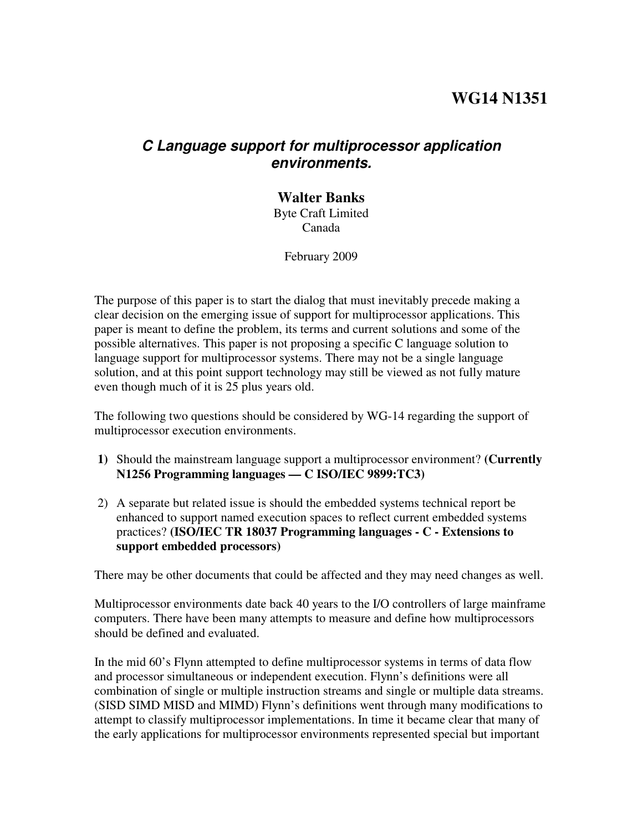# **WG14 N1351**

## **C Language support for multiprocessor application environments.**

# **Walter Banks**

Byte Craft Limited Canada

February 2009

The purpose of this paper is to start the dialog that must inevitably precede making a clear decision on the emerging issue of support for multiprocessor applications. This paper is meant to define the problem, its terms and current solutions and some of the possible alternatives. This paper is not proposing a specific C language solution to language support for multiprocessor systems. There may not be a single language solution, and at this point support technology may still be viewed as not fully mature even though much of it is 25 plus years old.

The following two questions should be considered by WG-14 regarding the support of multiprocessor execution environments.

- **1)** Should the mainstream language support a multiprocessor environment? **(Currently N1256 Programming languages — C ISO/IEC 9899:TC3)**
- 2) A separate but related issue is should the embedded systems technical report be enhanced to support named execution spaces to reflect current embedded systems practices? **(ISO/IEC TR 18037 Programming languages - C - Extensions to support embedded processors)**

There may be other documents that could be affected and they may need changes as well.

Multiprocessor environments date back 40 years to the I/O controllers of large mainframe computers. There have been many attempts to measure and define how multiprocessors should be defined and evaluated.

In the mid 60's Flynn attempted to define multiprocessor systems in terms of data flow and processor simultaneous or independent execution. Flynn's definitions were all combination of single or multiple instruction streams and single or multiple data streams. (SISD SIMD MISD and MIMD) Flynn's definitions went through many modifications to attempt to classify multiprocessor implementations. In time it became clear that many of the early applications for multiprocessor environments represented special but important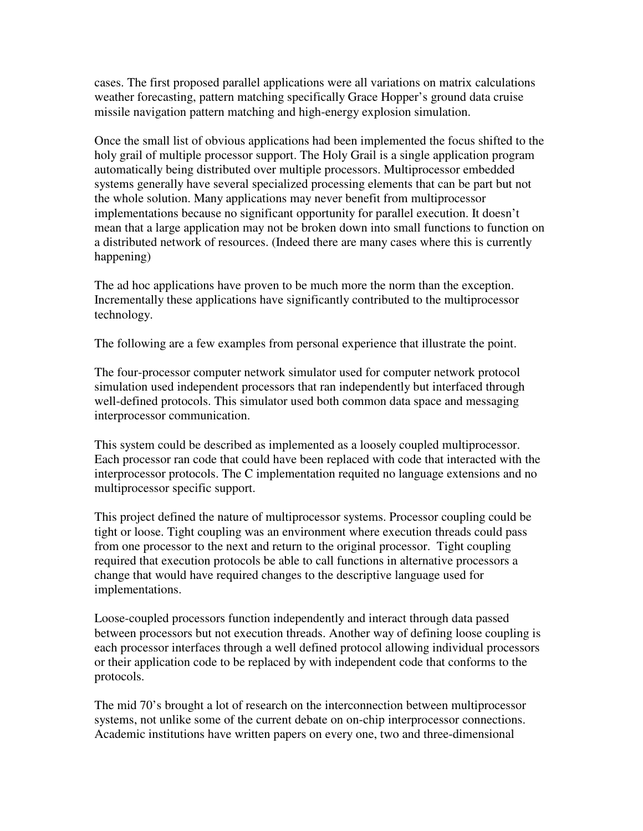cases. The first proposed parallel applications were all variations on matrix calculations weather forecasting, pattern matching specifically Grace Hopper's ground data cruise missile navigation pattern matching and high-energy explosion simulation.

Once the small list of obvious applications had been implemented the focus shifted to the holy grail of multiple processor support. The Holy Grail is a single application program automatically being distributed over multiple processors. Multiprocessor embedded systems generally have several specialized processing elements that can be part but not the whole solution. Many applications may never benefit from multiprocessor implementations because no significant opportunity for parallel execution. It doesn't mean that a large application may not be broken down into small functions to function on a distributed network of resources. (Indeed there are many cases where this is currently happening)

The ad hoc applications have proven to be much more the norm than the exception. Incrementally these applications have significantly contributed to the multiprocessor technology.

The following are a few examples from personal experience that illustrate the point.

The four-processor computer network simulator used for computer network protocol simulation used independent processors that ran independently but interfaced through well-defined protocols. This simulator used both common data space and messaging interprocessor communication.

This system could be described as implemented as a loosely coupled multiprocessor. Each processor ran code that could have been replaced with code that interacted with the interprocessor protocols. The C implementation requited no language extensions and no multiprocessor specific support.

This project defined the nature of multiprocessor systems. Processor coupling could be tight or loose. Tight coupling was an environment where execution threads could pass from one processor to the next and return to the original processor. Tight coupling required that execution protocols be able to call functions in alternative processors a change that would have required changes to the descriptive language used for implementations.

Loose-coupled processors function independently and interact through data passed between processors but not execution threads. Another way of defining loose coupling is each processor interfaces through a well defined protocol allowing individual processors or their application code to be replaced by with independent code that conforms to the protocols.

The mid 70's brought a lot of research on the interconnection between multiprocessor systems, not unlike some of the current debate on on-chip interprocessor connections. Academic institutions have written papers on every one, two and three-dimensional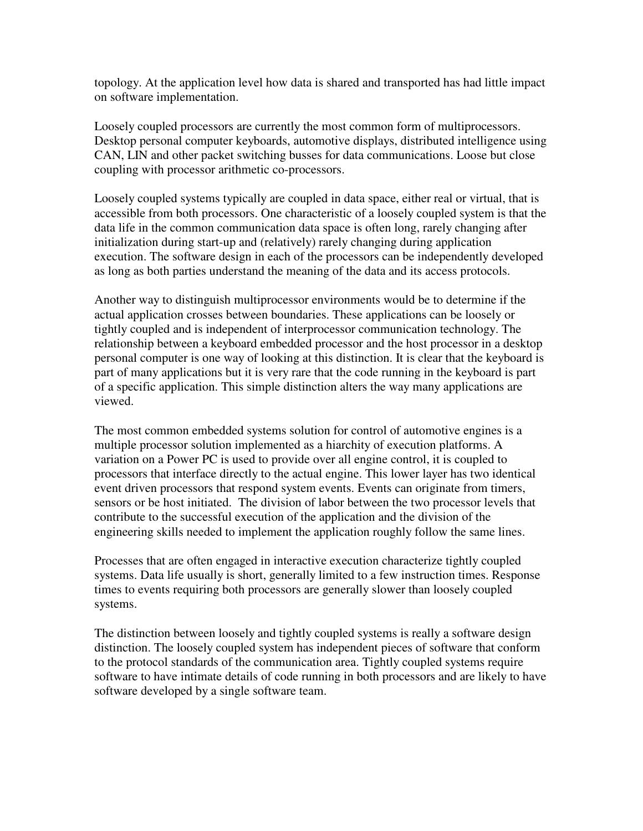topology. At the application level how data is shared and transported has had little impact on software implementation.

Loosely coupled processors are currently the most common form of multiprocessors. Desktop personal computer keyboards, automotive displays, distributed intelligence using CAN, LIN and other packet switching busses for data communications. Loose but close coupling with processor arithmetic co-processors.

Loosely coupled systems typically are coupled in data space, either real or virtual, that is accessible from both processors. One characteristic of a loosely coupled system is that the data life in the common communication data space is often long, rarely changing after initialization during start-up and (relatively) rarely changing during application execution. The software design in each of the processors can be independently developed as long as both parties understand the meaning of the data and its access protocols.

Another way to distinguish multiprocessor environments would be to determine if the actual application crosses between boundaries. These applications can be loosely or tightly coupled and is independent of interprocessor communication technology. The relationship between a keyboard embedded processor and the host processor in a desktop personal computer is one way of looking at this distinction. It is clear that the keyboard is part of many applications but it is very rare that the code running in the keyboard is part of a specific application. This simple distinction alters the way many applications are viewed.

The most common embedded systems solution for control of automotive engines is a multiple processor solution implemented as a hiarchity of execution platforms. A variation on a Power PC is used to provide over all engine control, it is coupled to processors that interface directly to the actual engine. This lower layer has two identical event driven processors that respond system events. Events can originate from timers, sensors or be host initiated. The division of labor between the two processor levels that contribute to the successful execution of the application and the division of the engineering skills needed to implement the application roughly follow the same lines.

Processes that are often engaged in interactive execution characterize tightly coupled systems. Data life usually is short, generally limited to a few instruction times. Response times to events requiring both processors are generally slower than loosely coupled systems.

The distinction between loosely and tightly coupled systems is really a software design distinction. The loosely coupled system has independent pieces of software that conform to the protocol standards of the communication area. Tightly coupled systems require software to have intimate details of code running in both processors and are likely to have software developed by a single software team.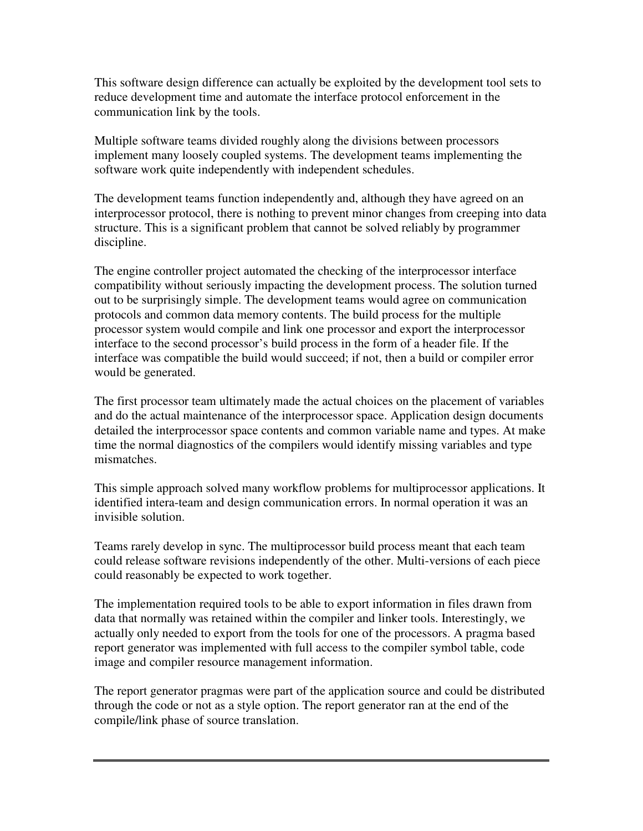This software design difference can actually be exploited by the development tool sets to reduce development time and automate the interface protocol enforcement in the communication link by the tools.

Multiple software teams divided roughly along the divisions between processors implement many loosely coupled systems. The development teams implementing the software work quite independently with independent schedules.

The development teams function independently and, although they have agreed on an interprocessor protocol, there is nothing to prevent minor changes from creeping into data structure. This is a significant problem that cannot be solved reliably by programmer discipline.

The engine controller project automated the checking of the interprocessor interface compatibility without seriously impacting the development process. The solution turned out to be surprisingly simple. The development teams would agree on communication protocols and common data memory contents. The build process for the multiple processor system would compile and link one processor and export the interprocessor interface to the second processor's build process in the form of a header file. If the interface was compatible the build would succeed; if not, then a build or compiler error would be generated.

The first processor team ultimately made the actual choices on the placement of variables and do the actual maintenance of the interprocessor space. Application design documents detailed the interprocessor space contents and common variable name and types. At make time the normal diagnostics of the compilers would identify missing variables and type mismatches.

This simple approach solved many workflow problems for multiprocessor applications. It identified intera-team and design communication errors. In normal operation it was an invisible solution.

Teams rarely develop in sync. The multiprocessor build process meant that each team could release software revisions independently of the other. Multi-versions of each piece could reasonably be expected to work together.

The implementation required tools to be able to export information in files drawn from data that normally was retained within the compiler and linker tools. Interestingly, we actually only needed to export from the tools for one of the processors. A pragma based report generator was implemented with full access to the compiler symbol table, code image and compiler resource management information.

The report generator pragmas were part of the application source and could be distributed through the code or not as a style option. The report generator ran at the end of the compile/link phase of source translation.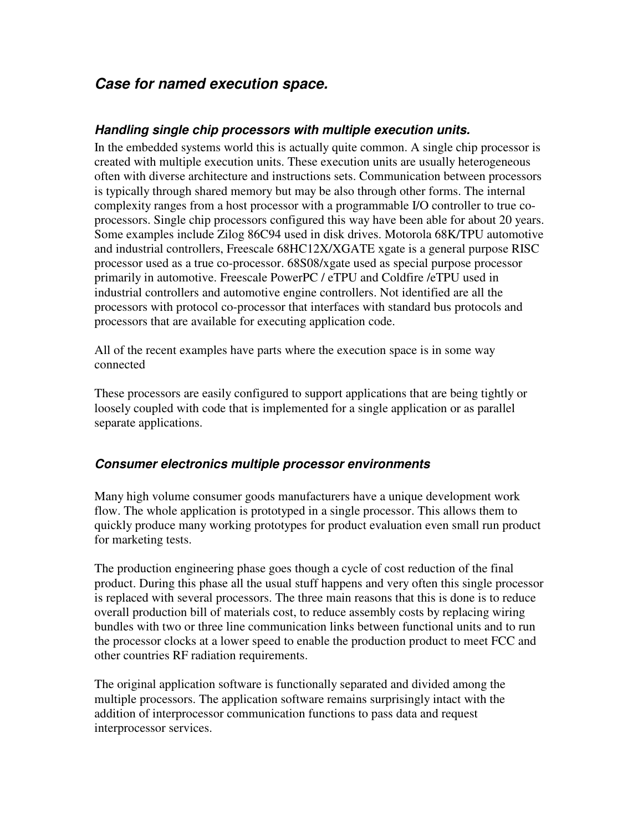## **Case for named execution space.**

#### **Handling single chip processors with multiple execution units.**

In the embedded systems world this is actually quite common. A single chip processor is created with multiple execution units. These execution units are usually heterogeneous often with diverse architecture and instructions sets. Communication between processors is typically through shared memory but may be also through other forms. The internal complexity ranges from a host processor with a programmable I/O controller to true coprocessors. Single chip processors configured this way have been able for about 20 years. Some examples include Zilog 86C94 used in disk drives. Motorola 68K/TPU automotive and industrial controllers, Freescale 68HC12X/XGATE xgate is a general purpose RISC processor used as a true co-processor. 68S08/xgate used as special purpose processor primarily in automotive. Freescale PowerPC / eTPU and Coldfire /eTPU used in industrial controllers and automotive engine controllers. Not identified are all the processors with protocol co-processor that interfaces with standard bus protocols and processors that are available for executing application code.

All of the recent examples have parts where the execution space is in some way connected

These processors are easily configured to support applications that are being tightly or loosely coupled with code that is implemented for a single application or as parallel separate applications.

#### **Consumer electronics multiple processor environments**

Many high volume consumer goods manufacturers have a unique development work flow. The whole application is prototyped in a single processor. This allows them to quickly produce many working prototypes for product evaluation even small run product for marketing tests.

The production engineering phase goes though a cycle of cost reduction of the final product. During this phase all the usual stuff happens and very often this single processor is replaced with several processors. The three main reasons that this is done is to reduce overall production bill of materials cost, to reduce assembly costs by replacing wiring bundles with two or three line communication links between functional units and to run the processor clocks at a lower speed to enable the production product to meet FCC and other countries RF radiation requirements.

The original application software is functionally separated and divided among the multiple processors. The application software remains surprisingly intact with the addition of interprocessor communication functions to pass data and request interprocessor services.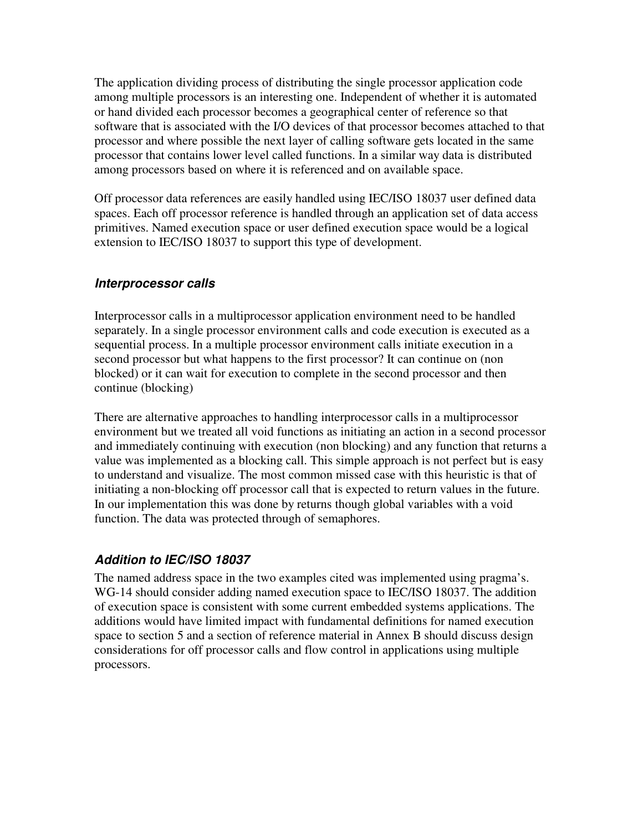The application dividing process of distributing the single processor application code among multiple processors is an interesting one. Independent of whether it is automated or hand divided each processor becomes a geographical center of reference so that software that is associated with the I/O devices of that processor becomes attached to that processor and where possible the next layer of calling software gets located in the same processor that contains lower level called functions. In a similar way data is distributed among processors based on where it is referenced and on available space.

Off processor data references are easily handled using IEC/ISO 18037 user defined data spaces. Each off processor reference is handled through an application set of data access primitives. Named execution space or user defined execution space would be a logical extension to IEC/ISO 18037 to support this type of development.

#### **Interprocessor calls**

Interprocessor calls in a multiprocessor application environment need to be handled separately. In a single processor environment calls and code execution is executed as a sequential process. In a multiple processor environment calls initiate execution in a second processor but what happens to the first processor? It can continue on (non blocked) or it can wait for execution to complete in the second processor and then continue (blocking)

There are alternative approaches to handling interprocessor calls in a multiprocessor environment but we treated all void functions as initiating an action in a second processor and immediately continuing with execution (non blocking) and any function that returns a value was implemented as a blocking call. This simple approach is not perfect but is easy to understand and visualize. The most common missed case with this heuristic is that of initiating a non-blocking off processor call that is expected to return values in the future. In our implementation this was done by returns though global variables with a void function. The data was protected through of semaphores.

### **Addition to IEC/ISO 18037**

The named address space in the two examples cited was implemented using pragma's. WG-14 should consider adding named execution space to IEC/ISO 18037. The addition of execution space is consistent with some current embedded systems applications. The additions would have limited impact with fundamental definitions for named execution space to section 5 and a section of reference material in Annex B should discuss design considerations for off processor calls and flow control in applications using multiple processors.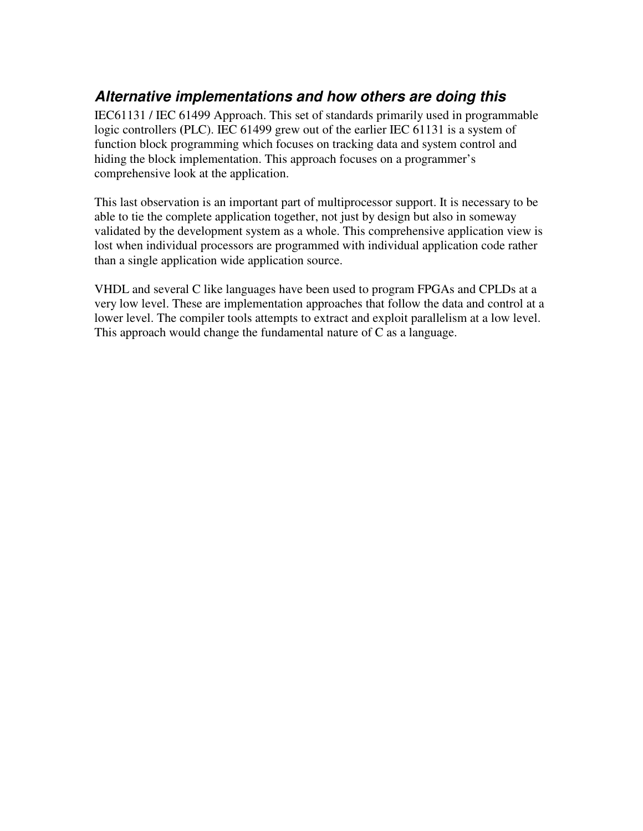# **Alternative implementations and how others are doing this**

IEC61131 / IEC 61499 Approach. This set of standards primarily used in programmable logic controllers **(**PLC). IEC 61499 grew out of the earlier IEC 61131 is a system of function block programming which focuses on tracking data and system control and hiding the block implementation. This approach focuses on a programmer's comprehensive look at the application.

This last observation is an important part of multiprocessor support. It is necessary to be able to tie the complete application together, not just by design but also in someway validated by the development system as a whole. This comprehensive application view is lost when individual processors are programmed with individual application code rather than a single application wide application source.

VHDL and several C like languages have been used to program FPGAs and CPLDs at a very low level. These are implementation approaches that follow the data and control at a lower level. The compiler tools attempts to extract and exploit parallelism at a low level. This approach would change the fundamental nature of C as a language.